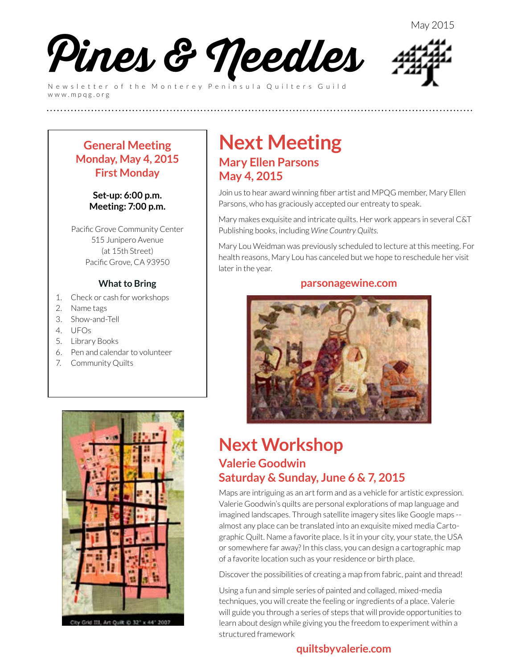

Newsletter of the Monterey Peninsula Quilters Guild www.mpqg.org



### **General Meeting Monday, May 4, 2015 First Monday**

#### **Set-up: 6:00 p.m. Meeting: 7:00 p.m.**

Pacific Grove Community Center 515 Junipero Avenue (at 15th Street) Pacific Grove, CA 93950

#### **What to Bring**

- 1. Check or cash for workshops
- 2. Name tags
- 3. Show-and-Tell
- 4. UFOs
- 5. Library Books
- 6. Pen and calendar to volunteer
- 7. Community Quilts



Grid III, Art Quilt @ 32" x 44" 200

### **Next Meeting Mary Ellen Parsons May 4, 2015**

**(((((((((((((((((((((((((**

Join us to hear award winning fiber artist and MPQG member, Mary Ellen Parsons, who has graciously accepted our entreaty to speak.

Mary makes exquisite and intricate quilts. Her work appears in several C&T Publishing books, including *Wine Country Quilts*.

Mary Lou Weidman was previously scheduled to lecture at this meeting. For health reasons, Mary Lou has canceled but we hope to reschedule her visit later in the year.

#### **parsonagewine.com**



### **Next Workshop Valerie Goodwin Saturday & Sunday, June 6 & 7, 2015**

Maps are intriguing as an art form and as a vehicle for artistic expression. Valerie Goodwin's quilts are personal explorations of map language and imagined landscapes. Through satellite imagery sites like Google maps - almost any place can be translated into an exquisite mixed media Cartographic Quilt. Name a favorite place. Is it in your city, your state, the USA or somewhere far away? In this class, you can design a cartographic map of a favorite location such as your residence or birth place.

Discover the possibilities of creating a map from fabric, paint and thread!

Using a fun and simple series of painted and collaged, mixed-media techniques, you will create the feeling or ingredients of a place. Valerie will guide you through a series of steps that will provide opportunities to learn about design while giving you the freedom to experiment within a structured framework

### **[quiltsbyvalerie.com](http://www.quiltsbyvalerie.com)**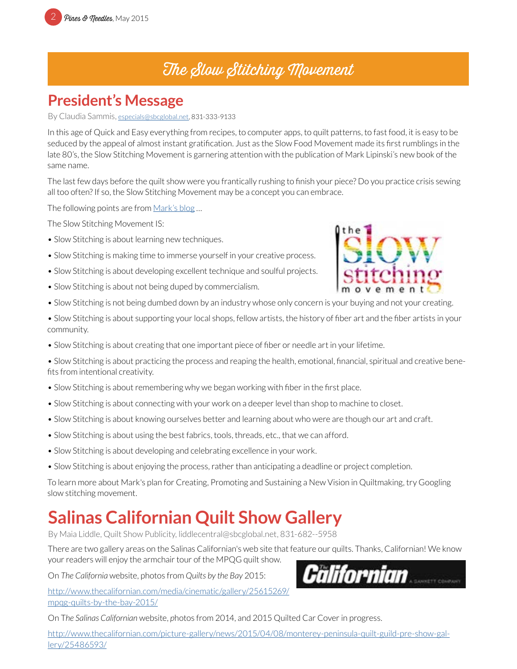## The Slow Stitching Movement

### **President's Message**

By Claudia Sammis, [especials@sbcglobal.net,](mailto:especials%40sbcglobal.net?subject=MPQG) 831-333-9133

In this age of Quick and Easy everything from recipes, to computer apps, to quilt patterns, to fast food, it is easy to be seduced by the appeal of almost instant gratification. Just as the Slow Food Movement made its first rumblings in the late 80's, the Slow Stitching Movement is garnering attention with the publication of Mark Lipinski's new book of the same name.

The last few days before the quilt show were you frantically rushing to finish your piece? Do you practice crisis sewing all too often? If so, the Slow Stitching Movement may be a concept you can embrace.

The following points are from [Mark's blog](https://theslowstitchingmovement.wordpress.com/) ...

The Slow Stitching Movement IS:

- Slow Stitching is about learning new techniques.
- Slow Stitching is making time to immerse yourself in your creative process.
- Slow Stitching is about developing excellent technique and soulful projects.
- Slow Stitching is about not being duped by commercialism.
- Slow Stitching is not being dumbed down by an industry whose only concern is your buying and not your creating.
- Slow Stitching is about supporting your local shops, fellow artists, the history of fiber art and the fiber artists in your community.
- Slow Stitching is about creating that one important piece of fiber or needle art in your lifetime.

• Slow Stitching is about practicing the process and reaping the health, emotional, financial, spiritual and creative benefits from intentional creativity.

- Slow Stitching is about remembering why we began working with fiber in the first place.
- Slow Stitching is about connecting with your work on a deeper level than shop to machine to closet.
- Slow Stitching is about knowing ourselves better and learning about who were are though our art and craft.
- Slow Stitching is about using the best fabrics, tools, threads, etc., that we can afford.
- Slow Stitching is about developing and celebrating excellence in your work.
- Slow Stitching is about enjoying the process, rather than anticipating a deadline or project completion.

To learn more about Mark's plan for Creating, Promoting and Sustaining a New Vision in Quiltmaking, try Googling slow stitching movement.

## **Salinas Californian Quilt Show Gallery**

By Maia Liddle, Quilt Show Publicity, liddlecentral@sbcglobal.net, 831-682--5958

There are two gallery areas on the Salinas Californian's web site that feature our quilts. Thanks, Californian! We know your readers will enjoy the armchair tour of the MPQG quilt show.

On *The California* website, photos from *Quilts by the Bay* 2015:

[http://www.thecalifornian.com/media/cinematic/gallery/25615269/](http://www.thecalifornian.com/media/cinematic/gallery/25615269/mpqg-quilts-by-the-bay-2015/) [mpqg-quilts-by-the-bay-2015/](http://www.thecalifornian.com/media/cinematic/gallery/25615269/mpqg-quilts-by-the-bay-2015/)

On T*he Salinas Californian* website, *p*hotos from 2014, and 2015 Quilted Car Cover in progress.

[http://www.thecalifornian.com/picture-gallery/news/2015/04/08/monterey-peninsula-quilt-guild-pre-show-gal](http://www.thecalifornian.com/picture-gallery/news/2015/04/08/monterey-peninsula-quilt-guild-pre-show-gallery/25486593/)[lery/25486593/](http://www.thecalifornian.com/picture-gallery/news/2015/04/08/monterey-peninsula-quilt-guild-pre-show-gallery/25486593/)



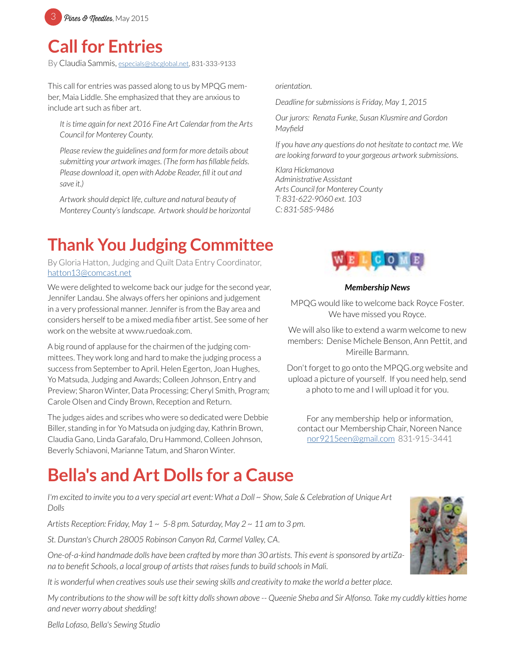

### **Call for Entries**

By Claudia Sammis, [especials@sbcglobal.net,](mailto:especials%40sbcglobal.net?subject=MPQG) 831-333-9133

This call for entries was passed along to us by MPQG member, Maia Liddle. She emphasized that they are anxious to include art such as fiber art.

*It is time again for next 2016 Fine Art Calendar from the Arts Council for Monterey County.*

*Please review the guidelines and form for more details about submitting your artwork images. (The form has fillable fields. Please download it, open with Adobe Reader, fill it out and save it.)* 

*Artwork should depict life, culture and natural beauty of Monterey County's landscape. Artwork should be horizontal* 

## **Thank You Judging Committee**

By Gloria Hatton, Judging and Quilt Data Entry Coordinator, [hatton13@comcast.net](mailto:hatton13%40comcast.net?subject=MPQG%20Judging%20Committee)

We were delighted to welcome back our judge for the second year, Jennifer Landau. She always offers her opinions and judgement in a very professional manner. Jennifer is from the Bay area and considers herself to be a mixed media fiber artist. See some of her work on the website at www.ruedoak.com.

A big round of applause for the chairmen of the judging committees. They work long and hard to make the judging process a success from September to April. Helen Egerton, Joan Hughes, Yo Matsuda, Judging and Awards; Colleen Johnson, Entry and Preview; Sharon Winter, Data Processing; Cheryl Smith, Program; Carole Olsen and Cindy Brown, Reception and Return.

The judges aides and scribes who were so dedicated were Debbie Biller, standing in for Yo Matsuda on judging day, Kathrin Brown, Claudia Gano, Linda Garafalo, Dru Hammond, Colleen Johnson, Beverly Schiavoni, Marianne Tatum, and Sharon Winter.

#### *orientation.*

*Deadline for submissions is Friday, May 1, 2015*

*Our jurors: Renata Funke, Susan Klusmire and Gordon Mayfield*

*If you have any questions do not hesitate to contact me. We are looking forward to your gorgeous artwork submissions.*

*Klara Hickmanova Administrative Assistant Arts Council for Monterey County T: 831-622-9060 ext. 103 C: 831-585-9486*



#### *Membership News*

MPQG would like to welcome back Royce Foster. We have missed you Royce.

We will also like to extend a warm welcome to new members: Denise Michele Benson, Ann Pettit, and Mireille Barmann.

Don't forget to go onto the MPQG.org website and upload a picture of yourself. If you need help, send a photo to me and I will upload it for you.

For any membership help or information, contact our Membership Chair, Noreen Nance [nor9215een@gmail.com](mailto:nor9215een%40gmail.com?subject=MPQG%20Membership) 831-915-3441

## **Bella's and Art Dolls for a Cause**

*I'm excited to invite you to a very special art event: What a Doll ~ Show, Sale & Celebration of Unique Art Dolls*

*Artists Reception: Friday, May 1 ~ 5-8 pm. Saturday, May 2 ~ 11 am to 3 pm.*

*St. Dunstan's Church 28005 Robinson Canyon Rd, Carmel Valley, CA.*

*One-of-a-kind handmade dolls have been crafted by more than 30 artists. This event is sponsored by artiZana to benefit Schools, a local group of artists that raises funds to build schools in Mali.*

*It is wonderful when creatives souls use their sewing skills and creativity to make the world a better place.*

*My contributions to the show will be soft kitty dolls shown above -- Queenie Sheba and Sir Alfonso. Take my cuddly kitties home and never worry about shedding!*



*Bella Lofaso, Bella's Sewing Studio*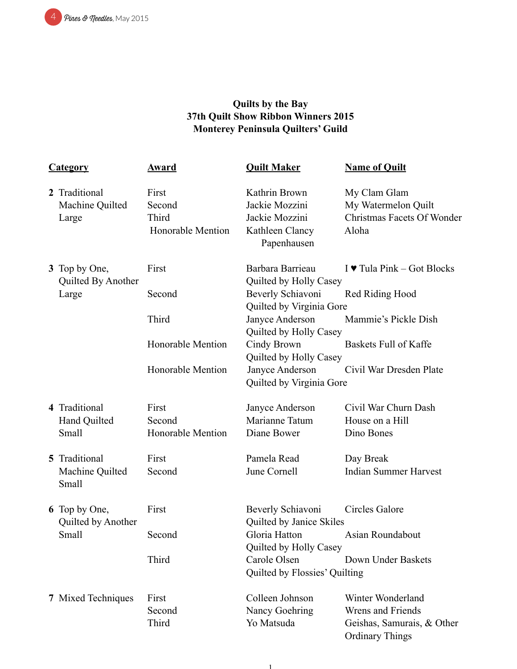

### **Quilts by the Bay 37th Quilt Show Ribbon Winners 2015 Monterey Peninsula Quilters' Guild**

| <b>Category</b>                           | <b>Award</b>                                  | <b>Quilt Maker</b>                                                                  | <b>Name of Quilt</b>                                                       |
|-------------------------------------------|-----------------------------------------------|-------------------------------------------------------------------------------------|----------------------------------------------------------------------------|
| 2 Traditional<br>Machine Quilted<br>Large | First<br>Second<br>Third<br>Honorable Mention | Kathrin Brown<br>Jackie Mozzini<br>Jackie Mozzini<br>Kathleen Clancy<br>Papenhausen | My Clam Glam<br>My Watermelon Quilt<br>Christmas Facets Of Wonder<br>Aloha |
| 3 Top by One,<br>Quilted By Another       | First                                         | Barbara Barrieau<br>Quilted by Holly Casey                                          | I $\blacktriangleright$ Tula Pink – Got Blocks                             |
| Large                                     | Second                                        | Beverly Schiavoni<br>Quilted by Virginia Gore                                       | Red Riding Hood                                                            |
|                                           | Third                                         | Janyce Anderson<br>Quilted by Holly Casey                                           | Mammie's Pickle Dish                                                       |
|                                           | Honorable Mention                             | Cindy Brown<br>Quilted by Holly Casey                                               | Baskets Full of Kaffe                                                      |
|                                           | Honorable Mention                             | Janyce Anderson<br>Quilted by Virginia Gore                                         | Civil War Dresden Plate                                                    |
| 4 Traditional                             | First                                         | Janyce Anderson                                                                     | Civil War Churn Dash                                                       |
| Hand Quilted                              | Second                                        | Marianne Tatum                                                                      | House on a Hill                                                            |
| Small                                     | Honorable Mention                             | Diane Bower                                                                         | Dino Bones                                                                 |
| 5 Traditional                             | First                                         | Pamela Read                                                                         | Day Break                                                                  |
| Machine Quilted<br>Small                  | Second                                        | June Cornell                                                                        | <b>Indian Summer Harvest</b>                                               |
| 6 Top by One,<br>Quilted by Another       | First                                         | Beverly Schiavoni<br>Quilted by Janice Skiles                                       | Circles Galore                                                             |
| Small                                     | Second                                        | Gloria Hatton<br>Quilted by Holly Casey                                             | Asian Roundabout                                                           |
|                                           | Third                                         | Carole Olsen<br>Quilted by Flossies' Quilting                                       | Down Under Baskets                                                         |
| 7 Mixed Techniques                        | First                                         | Colleen Johnson                                                                     | Winter Wonderland                                                          |
|                                           | Second                                        | Nancy Goehring                                                                      | Wrens and Friends                                                          |
|                                           | Third                                         | Yo Matsuda                                                                          | Geishas, Samurais, & Other<br><b>Ordinary Things</b>                       |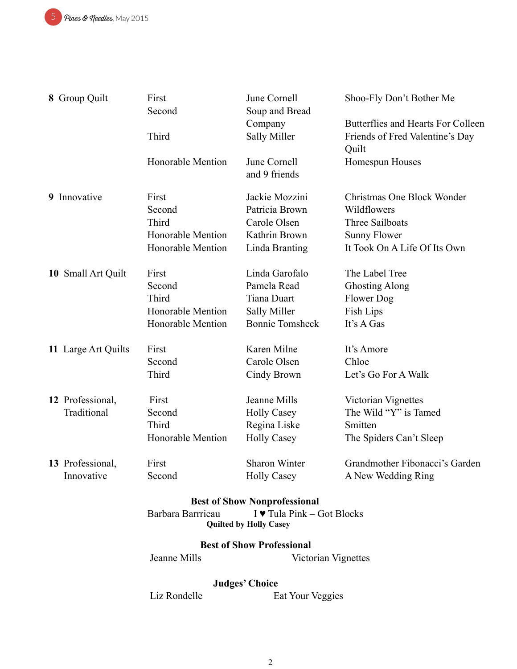5 Pines & Meedles, May 2015

| 8 Group Quilt                       | First<br>Second                                                                  | June Cornell<br>Soup and Bread   | Shoo-Fly Don't Bother Me                                                       |  |  |  |  |
|-------------------------------------|----------------------------------------------------------------------------------|----------------------------------|--------------------------------------------------------------------------------|--|--|--|--|
|                                     | Third                                                                            | Company<br><b>Sally Miller</b>   | Butterflies and Hearts For Colleen<br>Friends of Fred Valentine's Day<br>Quilt |  |  |  |  |
|                                     | Honorable Mention                                                                | June Cornell<br>and 9 friends    | Homespun Houses                                                                |  |  |  |  |
| 9 Innovative                        | First                                                                            | Jackie Mozzini                   | Christmas One Block Wonder                                                     |  |  |  |  |
|                                     | Second                                                                           | Patricia Brown                   | Wildflowers                                                                    |  |  |  |  |
|                                     | Third                                                                            | Carole Olsen                     | Three Sailboats                                                                |  |  |  |  |
|                                     | <b>Honorable Mention</b>                                                         | Kathrin Brown                    | <b>Sunny Flower</b>                                                            |  |  |  |  |
|                                     | Honorable Mention                                                                | Linda Branting                   | It Took On A Life Of Its Own                                                   |  |  |  |  |
| 10 Small Art Quilt                  | First                                                                            | Linda Garofalo                   | The Label Tree                                                                 |  |  |  |  |
|                                     | Second                                                                           | Pamela Read                      | <b>Ghosting Along</b>                                                          |  |  |  |  |
|                                     | Third                                                                            | <b>Tiana Duart</b>               | Flower Dog                                                                     |  |  |  |  |
|                                     | Honorable Mention                                                                | <b>Sally Miller</b>              | Fish Lips                                                                      |  |  |  |  |
|                                     | Honorable Mention                                                                | <b>Bonnie Tomsheck</b>           | It's A Gas                                                                     |  |  |  |  |
| 11 Large Art Quilts                 | First                                                                            | Karen Milne                      | It's Amore                                                                     |  |  |  |  |
|                                     | Second                                                                           | Carole Olsen                     | Chloe                                                                          |  |  |  |  |
|                                     | Third                                                                            | Cindy Brown                      | Let's Go For A Walk                                                            |  |  |  |  |
| 12 Professional,                    | First                                                                            | Jeanne Mills                     | Victorian Vignettes                                                            |  |  |  |  |
| Traditional                         | Second                                                                           | <b>Holly Casey</b>               | The Wild "Y" is Tamed                                                          |  |  |  |  |
|                                     | Third                                                                            | Regina Liske                     | Smitten                                                                        |  |  |  |  |
|                                     | Honorable Mention                                                                | <b>Holly Casey</b>               | The Spiders Can't Sleep                                                        |  |  |  |  |
| 13 Professional,                    | First                                                                            | Sharon Winter                    | Grandmother Fibonacci's Garden                                                 |  |  |  |  |
| Innovative                          | Second                                                                           | <b>Holly Casey</b>               | A New Wedding Ring                                                             |  |  |  |  |
| <b>Best of Show Nonprofessional</b> |                                                                                  |                                  |                                                                                |  |  |  |  |
|                                     | I ♥ Tula Pink – Got Blocks<br>Barbara Barrrieau<br><b>Quilted by Holly Casey</b> |                                  |                                                                                |  |  |  |  |
|                                     |                                                                                  | <b>Best of Show Professional</b> |                                                                                |  |  |  |  |
|                                     | Jeanne Mills                                                                     | Victorian Vignettes              |                                                                                |  |  |  |  |

# **Judges' Choice**<br>Liz Rondelle E

Eat Your Veggies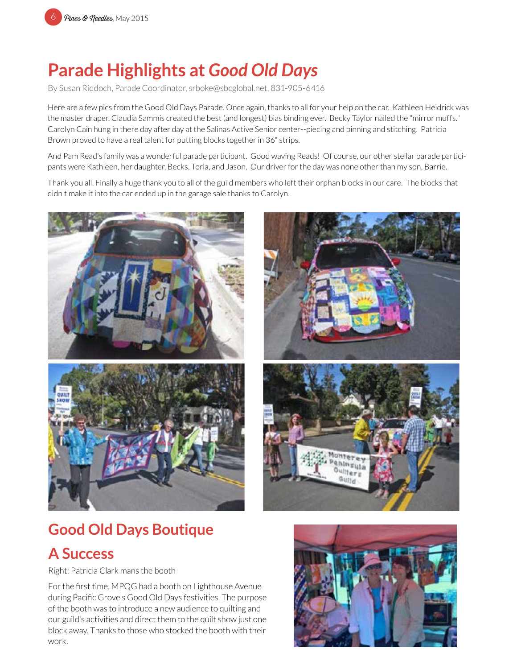# **Parade Highlights at** *Good Old Days*

By Susan Riddoch, Parade Coordinator, srboke@sbcglobal.net, 831-905-6416

Here are a few pics from the Good Old Days Parade. Once again, thanks to all for your help on the car. Kathleen Heidrick was the master draper. Claudia Sammis created the best (and longest) bias binding ever. Becky Taylor nailed the "mirror muffs." Carolyn Cain hung in there day after day at the Salinas Active Senior center--piecing and pinning and stitching. Patricia Brown proved to have a real talent for putting blocks together in 36" strips.

And Pam Read's family was a wonderful parade participant. Good waving Reads! Of course, our other stellar parade participants were Kathleen, her daughter, Becks, Toria, and Jason. Our driver for the day was none other than my son, Barrie.

Thank you all. Finally a huge thank you to all of the guild members who left their orphan blocks in our care. The blocks that didn't make it into the car ended up in the garage sale thanks to Carolyn.





## **Good Old Days Boutique**

### **A Success**

Right: Patricia Clark mans the booth

For the first time, MPQG had a booth on Lighthouse Avenue during Pacific Grove's Good Old Days festivities. The purpose of the booth was to introduce a new audience to quilting and our guild's activities and direct them to the quilt show just one block away. Thanks to those who stocked the booth with their work.

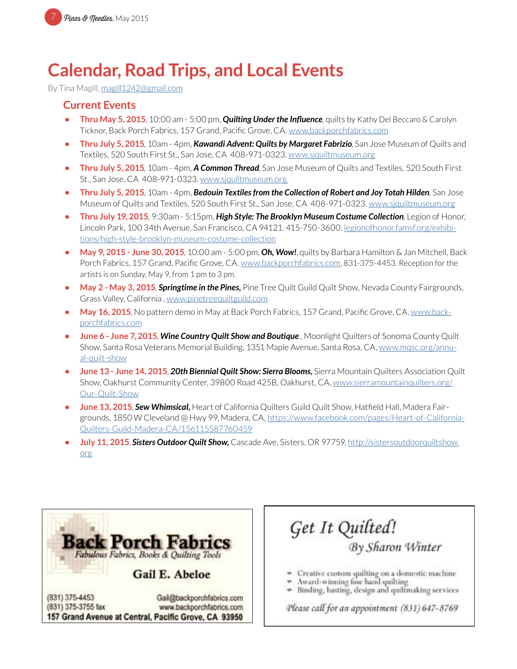

## **Calendar, Road Trips, and Local Events**

By Tina Magill, [magill1242@gmail.com](mailto:magill1242%40gmail.com?subject=MPQG%20Calendar)

#### **Current Events**

- **• Thru May 5, 2015**, 10:00 am 5:00 pm, *Quilting Under the Influence*, quilts by Kathy Del Beccaro & Carolyn Ticknor, Back Porch Fabrics, 157 Grand, Pacific Grove, CA. [www.backporchfabrics.com](http://www.backporchfabrics.com)
- **• Thru July 5, 2015**, 10am 4pm, *Kawandi Advent: Quilts by Margaret Fabrizio*, San Jose Museum of Quilts and Textiles, 520 South First St., San Jose, CA 408-971-0323. [www.sjquiltmuseum.or](http://www.sjquiltmuseum.org)g
- **• Thru July 5, 2015**, 10am 4pm, *A Common Thread*, San Jose Museum of Quilts and Textiles, 520 South First St., San Jose, CA 408-971-0323. [www.sjquiltmuseum.or](http://www.sjquiltmuseum.org)g
- **• Thru July 5, 2015**, 10am 4pm, *Bedouin Textiles from the Collection of Robert and Joy Totah Hilden*, San Jose Museum of Quilts and Textiles, 520 South First St., San Jose, CA 408-971-0323. [www.sjquiltmuseum.or](http://www.sjquiltmuseum.org)g
- **• Thru July 19, 2015**, 9:30am 5:15pm, *High Style: The Brooklyn Museum Costume Collection*, Legion of Honor, Lincoln Park, 100 34th Avenue, San Francisco, CA 94121. 415-750-3600. l[egionofhonor.famsf.org/exhibi](http://legionofhonor.famsf.org/exhibitions/high-style-brooklyn-museum-costume-collection)[tions/high-style-brooklyn-museum-costume-collection](http://legionofhonor.famsf.org/exhibitions/high-style-brooklyn-museum-costume-collection)
- **• May 9, 2015 June 30, 2015**, 10:00 am 5:00 pm, *Oh, Wow!*, quilts by Barbara Hamilton & Jan Mitchell, Back Porch Fabrics, 157 Grand, Pacific Grove, CA. [www.backporchfabrics.com](http://www.backporchfabrics.com), 831-375-4453. Reception for the artists is on Sunday, May 9, from 1 pm to 3 pm.
- **• May 2 May 3, 2015**, *Springtime in the Pines,* Pine Tree Quilt Guild Quilt Show, Nevada County Fairgrounds, Grass Valley, California , [www.pinetreequiltguild.com](http://www.pinetreequiltguild.com)
- **• May 16, 2015**, No pattern demo in May at Back Porch Fabrics, 157 Grand, Pacific Grove, CA. [www.back](http://www.backporchfabrics.com)[porchfabrics.com](http://www.backporchfabrics.com)
- **• June 6 June 7, 2015**, *Wine Country Quilt Show and Boutique* , Moonlight Quilters of Sonoma County Quilt Show, Santa Rosa Veterans Memorial Building, 1351 Maple Avenue, Santa Rosa, CA, [www.mqsc.org/annu](http://www.mqsc.org/annual-quilt-show)[al-quilt-show](http://www.mqsc.org/annual-quilt-show)
- **• June 13 June 14, 2015**, *20th Biennial Quilt Show: Sierra Blooms,* Sierra Mountain Quilters Association Quilt Show, Oakhurst Community Center, 39800 Road 425B, Oakhurst, CA, [www.sierramountainquilters.org/](http://www.sierramountainquilters.org/Our-Quilt-Show) [Our-Quilt-Show](http://www.sierramountainquilters.org/Our-Quilt-Show)
- **•** June 13, 2015, Sew Whimsical, Heart of California Quilters Guild Quilt Show, Hatfield Hall, Madera Fairgrounds, 1850 W Cleveland @ Hwy 99, Madera, CA, [https://www.facebook.com/pages/Heart-of-California-](https://www.facebook.com/pages/Heart-of-California-Quilters-Guild-Madera-CA/156115587760459)[Quilters-Guild-Madera-CA/156115587760459](https://www.facebook.com/pages/Heart-of-California-Quilters-Guild-Madera-CA/156115587760459)
- **• July 11, 2015**, *Sisters Outdoor Quilt Show,* Cascade Ave, Sisters, OR 97759, [http://sistersoutdoorquiltshow.](http://sistersoutdoorquiltshow.org) [org](http://sistersoutdoorquiltshow.org)



157 Grand Avenue at Central, Pacific Grove, CA 93950

Get It Quilted!<br>By Sharon Winter

\* Creative custom quilting on a domestic machine

- Award-winning fine hand quilting
- » Binding, basting, design and quiltmaking services

Please call for an appointment (831) 647-8769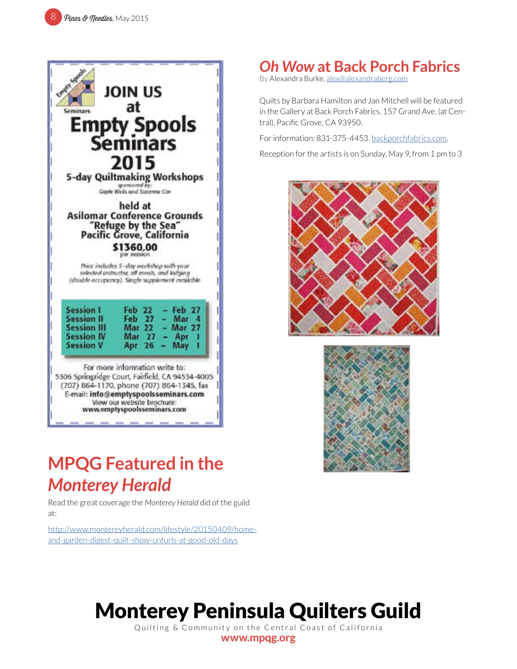

## *Oh Wow* **at Back Porch Fabrics**

By Alexandra Burke, [alex@alexandraberg.com](mailto:alex%40alexandraberg.com?subject=MPQG%20Newsletter)

Quilts by Barbara Hamilton and Jan Mitchell will be featured in the Gallery at Back Porch Fabrics, 157 Grand Ave. (at Central), Pacific Grove, CA 93950.

For information: 831-375-4453. [backporchfabrics.com](http://backporchfabrics.com).

Reception for the artists is on Sunday, May 9, from 1 pm to 3





## **MPQG Featured in the**  *Monterey Herald*

Read the great coverage the *Monterey Herald* did of the guild at:

[http://www.montereyherald.com/lifestyle/20150409/home](http://www.montereyherald.com/lifestyle/20150409/home-and-garden-digest-quilt-show-unfurls-at-good-old-days)[and-garden-digest-quilt-show-unfurls-at-good-old-days](http://www.montereyherald.com/lifestyle/20150409/home-and-garden-digest-quilt-show-unfurls-at-good-old-days)

# Monterey Peninsula Quilters Guild

Quilting & Community on the Central Coast of California **[www.mpqg.org](http://www.mpqg.org)**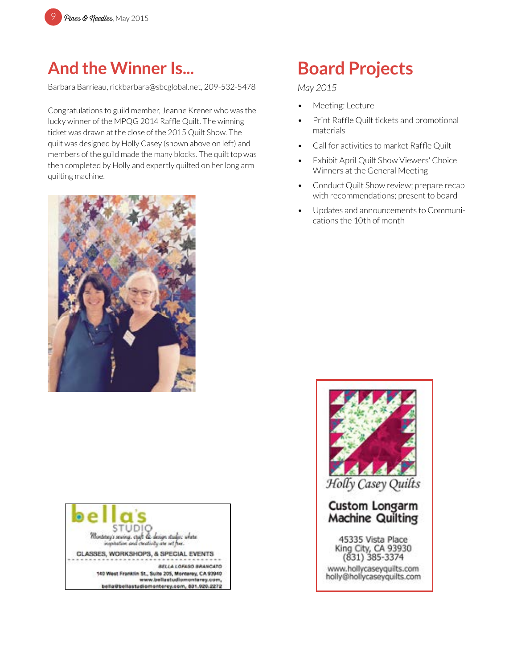

## **And the Winner Is...**

Barbara Barrieau, rickbarbara@sbcglobal.net, 209-532-5478

Congratulations to guild member, Jeanne Krener who was the lucky winner of the MPQG 2014 Raffle Quilt. The winning ticket was drawn at the close of the 2015 Quilt Show. The quilt was designed by Holly Casey (shown above on left) and members of the guild made the many blocks. The quilt top was then completed by Holly and expertly quilted on her long arm quilting machine.





# **Board Projects**

#### *May 2015*

- Meeting: Lecture
- Print Raffle Quilt tickets and promotional materials
- Call for activities to market Raffle Quilt
- Exhibit April Quilt Show Viewers' Choice Winners at the General Meeting
- Conduct Quilt Show review; prepare recap with recommendations; present to board
- Updates and announcements to Communications the 10th of month

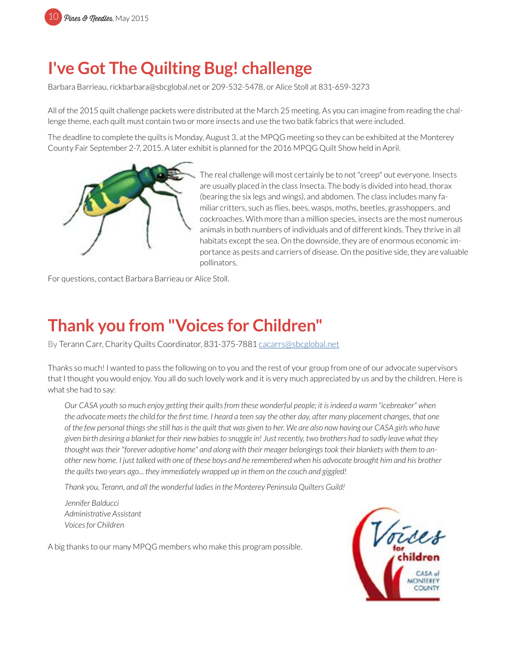## **I've Got The Quilting Bug! challenge**

Barbara Barrieau, rickbarbara@sbcglobal.net or 209-532-5478, or Alice Stoll at 831-659-3273

All of the 2015 quilt challenge packets were distributed at the March 25 meeting. As you can imagine from reading the challenge theme, each quilt must contain two or more insects and use the two batik fabrics that were included.

The deadline to complete the quilts is Monday, August 3, at the MPQG meeting so they can be exhibited at the Monterey County Fair September 2-7, 2015. A later exhibit is planned for the 2016 MPQG Quilt Show held in April.



The real challenge will most certainly be to not "creep" out everyone. Insects are usually placed in the class Insecta. The body is divided into head, thorax (bearing the six legs and wings), and abdomen. The class includes many familiar critters, such as flies, bees, wasps, moths, beetles, grasshoppers, and cockroaches. With more than a million species, insects are the most numerous animals in both numbers of individuals and of different kinds. They thrive in all habitats except the sea. On the downside, they are of enormous economic importance as pests and carriers of disease. On the positive side, they are valuable pollinators.

For questions, contact Barbara Barrieau or Alice Stoll.

## **Thank you from "Voices for Children"**

By Terann Carr, Charity Quilts Coordinator, 831-375-7881 cacarrs@sbcglobal.net

Thanks so much! I wanted to pass the following on to you and the rest of your group from one of our advocate supervisors that I thought you would enjoy. You all do such lovely work and it is very much appreciated by us and by the children. Here is what she had to say:

*Our CASA youth so much enjoy getting their quilts from these wonderful people; it is indeed a warm "icebreaker" when the advocate meets the child for the first time. I heard a teen say the other day, after many placement changes, that one of the few personal things she still has is the quilt that was given to her. We are also now having our CASA girls who have given birth desiring a blanket for their new babies to snuggle in! Just recently, two brothers had to sadly leave what they thought was their "forever adoptive home" and along with their meager belongings took their blankets with them to another new home. I just talked with one of these boys and he remembered when his advocate brought him and his brother the quilts two years ago... they immediately wrapped up in them on the couch and giggled!*

*Thank you, Terann, and all the wonderful ladies in the Monterey Peninsula Quilters Guild!*

*Jennifer Balducci Administrative Assistant Voices for Children*

A big thanks to our many MPQG members who make this program possible.

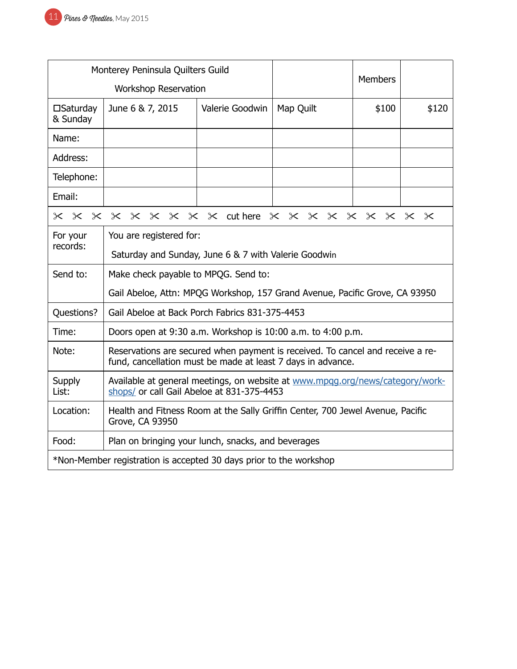|                                                                    | Monterey Peninsula Quilters Guild                                                                                                             |                 |                |       |       |  |  |
|--------------------------------------------------------------------|-----------------------------------------------------------------------------------------------------------------------------------------------|-----------------|----------------|-------|-------|--|--|
|                                                                    | <b>Workshop Reservation</b>                                                                                                                   |                 | <b>Members</b> |       |       |  |  |
| $\square$ Saturday<br>& Sunday                                     | June 6 & 7, 2015                                                                                                                              | Valerie Goodwin | Map Quilt      | \$100 | \$120 |  |  |
| Name:                                                              |                                                                                                                                               |                 |                |       |       |  |  |
| Address:                                                           |                                                                                                                                               |                 |                |       |       |  |  |
| Telephone:                                                         |                                                                                                                                               |                 |                |       |       |  |  |
| Email:                                                             |                                                                                                                                               |                 |                |       |       |  |  |
| x x x x x x x x x duthere x x x x x x x x x x                      |                                                                                                                                               |                 |                |       |       |  |  |
| For your                                                           | You are registered for:                                                                                                                       |                 |                |       |       |  |  |
| records:                                                           | Saturday and Sunday, June 6 & 7 with Valerie Goodwin                                                                                          |                 |                |       |       |  |  |
| Send to:                                                           | Make check payable to MPQG. Send to:                                                                                                          |                 |                |       |       |  |  |
|                                                                    | Gail Abeloe, Attn: MPQG Workshop, 157 Grand Avenue, Pacific Grove, CA 93950                                                                   |                 |                |       |       |  |  |
| Questions?                                                         | Gail Abeloe at Back Porch Fabrics 831-375-4453                                                                                                |                 |                |       |       |  |  |
| Time:                                                              | Doors open at 9:30 a.m. Workshop is 10:00 a.m. to 4:00 p.m.                                                                                   |                 |                |       |       |  |  |
| Note:                                                              | Reservations are secured when payment is received. To cancel and receive a re-<br>fund, cancellation must be made at least 7 days in advance. |                 |                |       |       |  |  |
| <b>Supply</b><br>List:                                             | Available at general meetings, on website at www.mpgg.org/news/category/work-<br>shops/ or call Gail Abeloe at 831-375-4453                   |                 |                |       |       |  |  |
| Location:                                                          | Health and Fitness Room at the Sally Griffin Center, 700 Jewel Avenue, Pacific<br>Grove, CA 93950                                             |                 |                |       |       |  |  |
| Food:<br>Plan on bringing your lunch, snacks, and beverages        |                                                                                                                                               |                 |                |       |       |  |  |
| *Non-Member registration is accepted 30 days prior to the workshop |                                                                                                                                               |                 |                |       |       |  |  |